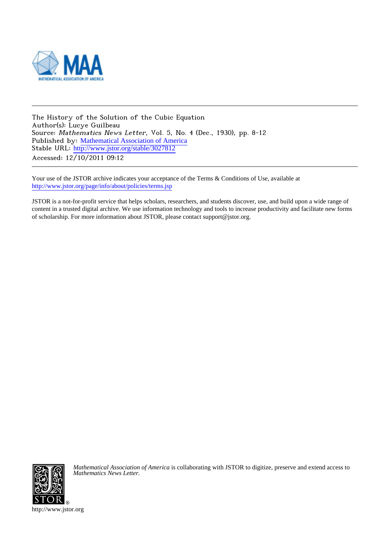

The History of the Solution of the Cubic Equation Author(s): Lucye Guilbeau Source: Mathematics News Letter, Vol. 5, No. 4 (Dec., 1930), pp. 8-12 Published by: [Mathematical Association of America](http://www.jstor.org/action/showPublisher?publisherCode=maa) Stable URL: [http://www.jstor.org/stable/3027812](http://www.jstor.org/stable/3027812?origin=JSTOR-pdf) Accessed: 12/10/2011 09:12

Your use of the JSTOR archive indicates your acceptance of the Terms & Conditions of Use, available at <http://www.jstor.org/page/info/about/policies/terms.jsp>

JSTOR is a not-for-profit service that helps scholars, researchers, and students discover, use, and build upon a wide range of content in a trusted digital archive. We use information technology and tools to increase productivity and facilitate new forms of scholarship. For more information about JSTOR, please contact support@jstor.org.



*Mathematical Association of America* is collaborating with JSTOR to digitize, preserve and extend access to *Mathematics News Letter.*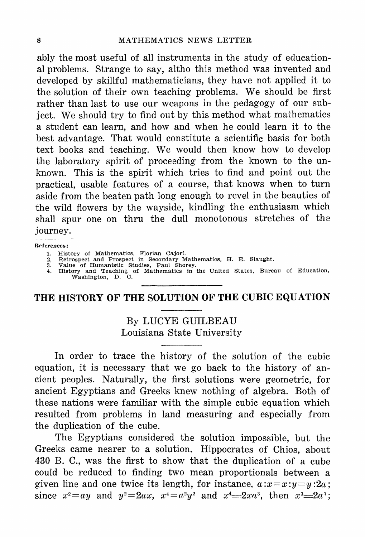ably the most useful of all instruments in the study of educational problems. Strange to say, altho this method was invented and developed by skillful mathematicians, they have not applied it to the solution of their own teaching problems. We should be first rather than last to use our weapons in the pedagogy of our subject. We should try to find out by this method what mathematics a student can learn, and how and when he could learn it to the best advantage. That would constitute a scientific basis for both text books and teaching. We would then know how to develop the laboratory spirit of proceeding from the known to the unknown. This is the spirit which tries to find and point out the practical, usable features of a course, that knows when to turn aside from the beaten path long enough to revel in the beauties of the wild flowers by the way side, kindling the enthusiasm which shall spur one on thru the dull monotonous stretches of the journey.

## References:

- 
- 
- 
- 1. History of Mathematics, Florian Cajori.<br>2. Retrospect and Prospect in Secondary Mathematics, H. E. Slaught.<br>3. Value of Humanistic Studies, Paul Shorey.<br>4. History and Teaching of Mathematics in the United States, Burea

## THE HISTORY OF THE SOLUTION OF THE CUBIC EQUATION

By LUCYE GUILBEAU Louisiana State University

In order to trace the history of the solution of the cubic equation, it is necessary that we go back to the history of ancient peoples. Naturally, the first solutions were geometric, for ancient Egyptians and Greeks knew nothing of algebra. Both of these nations were familiar with the simple cubic equation which resulted from problems in land measuring and especially from the duplication of the cube.

The Egyptians considered the solution impossible, but the Greeks came nearer to a solution. Hippocrates of Chios, about 430 B. C., was the first to show that the duplication of a cube could be reduced to finding two mean proportionals between a given line and one twice its length, for instance,  $a:x=x:y=y:2a$ ; since  $x^2 = ay$  and  $y^2 = 2ax$ ,  $x^4 = a^2y^2$  and  $x^4 = 2xa^3$ , then  $x^3 = 2a^3$ ;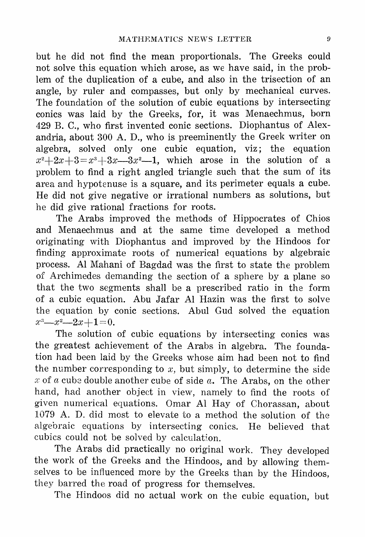but he did not find the mean proportionals. The Greeks could not solve this equation which arose, as we have said, in the problem of the duplication of a cube, and also in the trisection of an angle, by ruler and compasses, but only by mechanical curves. The foundation of the solution of cubic equations by intersecting conics was laid by the Greeks, for, it was Menaechmus, born 429 B. C., who first invented conic sections. Diophantus of Alexandria, about 300 A. D., who is preeminently the Greek writer on algebra, solved only one cubic equation, viz; the equation  $x^2+2x+3=x^3+3x-3x^2-1$ , which arose in the solution of a problem to find a right angled triangle such that the sum of its area and hypotenuse is a square, and its perimeter equals a cube. He did not give negative or irrational numbers as solutions, but he did give rational fractions for roots.

The Arabs improved the methods of Hippocrates of Chios and Menaechmus and at the same time developed a method originating with Diophantus and improved by the Hindoos for finding approximate roots of numerical equations by algebraic process. AI Mahani of Bagdad was the first to state the problem of Archimedes demanding the section of a sphere by a plane so that the two segments shall be a prescribed ratio in the form of a cubic equation. Abu Jafar AI Hazin was the first to solve the equation by conic sections. Abul Gud solved the equation  $x^3-x^2-2x+1 = 0.$ 

The solution of cubic equations by intersecting conics was the greatest achievement of the Arabs in algebra. The foundation had been laid by the Greeks whose aim had been not to find the number corresponding to  $x$ , but simply, to determine the side x of a cube double another cube of side  $a$ . The Arabs, on the other hand, had another object in view, namely to find the roots of given numerical equations. Omar AI Hay of Chorassan, about 1079 A. D. did most to elevate to a method the solution of the algebraic equations by intersecting conics. He believed that cubics could not be solved by calculation.

The Arabs did practically no original work. They developed the work of the Greeks and the Hindoos, and by allowing themselves to be influenced more by the Greeks than by the Hindoos, they barred the road of progress for themselves.

The Hindoos did no actual work on the cubic equation, but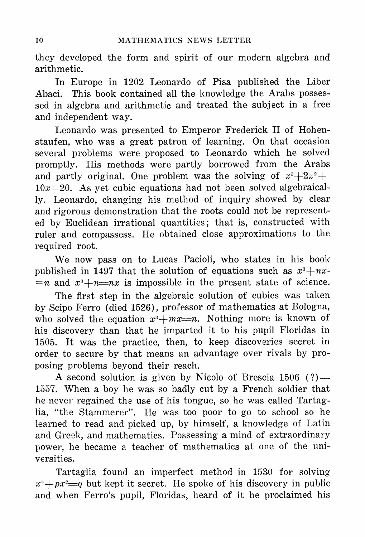they developed the form and spirit of our modern algebra and arithmetic.

In Europe in 1202 Leonardo of Pisa published the Liber Abaci. This book contained all the knowledge the Arabs possessed in algebra and arithmetic and treated the subject in a free and independent way.

Leonardo was presented to Emperor Frederick II of Hohenstaufen, who was a great patron of learning. On that occasion several problems were proposed to Leonardo which he solved promptly. His methods were partly borrowed from the Arabs and partly original. One problem was the solving of  $x^3+2x^2+\cdots$  $10x=20$ . As yet cubic equations had not been solved algebraically. Leonardo, changing his method of inquiry showed by clear and rigorous demonstration that the roots could not be represented by Euclidean irrational quantities; that is, constructed with ruler and compassess. He obtained close approximations to the required root.

We now pass on to Lucas Pacioli, who states in his book published in 1497 that the solution of equations such as  $x^3+nx^$  $n = n$  and  $x^3 + n = nx$  is impossible in the present state of science.

The first step in the algebraic solution of cubics was taken by Scipo Ferro (died 1526), professor of mathematics at Bologna, who solved the equation  $x^3+mx=n$ . Nothing more is known of his discovery than that he imparted it to his pupil Floridas in 1505. It was the practice, then, to keep discoveries secret in order to secure by that means an advantage over rivals by proposing problems beyond their reach.

A second solution is given by Nicolo of Brescia  $1506$  (?) — 1557. When a boy he was so badly cut by a French soldier that he never regained the use of his tongue, so he was called Tartaglia, "the Stammerer". He was too poor to go to school so he learned to read and picked up, by himself, a knowledge of Latin and Greek, and mathematics. Possessing a mind of extraordinary power, he became a teacher of mathematics at one of the universities.

Tartaglia found an imperfect method in 1530 for solving  $x^3+px^2=q$  but kept it secret. He spoke of his discovery in public and when Ferro's pupil, Floridas, heard of it he proclaimed his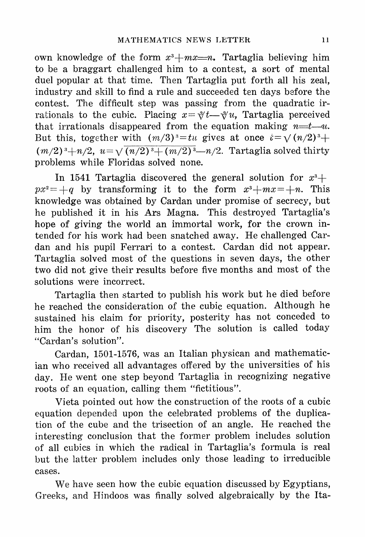own knowledge of the form  $x^3+mx=n$ . Tartaglia believing him to be a braggart challenged him to a contest, a sort of mental duel popular at that time. Then Tartaglia put forth all his zeal, industry and skill to find a rule and succeeded ten days before the contest. The difficult step was passing from the quadratic irrationals to the cubic. Placing  $x=\sqrt[3]{t}$  Tartaglia perceived that irrationals disappeared from the equation making  $n=t-u$ . But this, together with  $(m/3)^3 = tu$  gives at once  $t = \sqrt{(n/2)^3 + c}$  $(m/2)^3 + n/2$ ,  $u = \sqrt{(n/2)^3 + (m/2)^3} - n/2$ . Tartaglia solved thirty problems while Floridas solved none.

In 1541 Tartaglia discovered the general solution for  $x^3$ +  $px^2 = +q$  by transforming it to the form  $x^3+mx = +n$ . This knowledge was obtained by Cardan under promise of secrecy, but he published it in his Ars Magna. This destroyed Tartaglia's hope of giving the world an immortal work, for the crown intended for his work had been snatched away. He challenged Cardan and his pupil Ferrari to a contest. Cardan did not appear. Tartaglia solved most of the questions in seven days, the other two did not give their results before five months and most of the solutions were incorrect.

Tartaglia then started to publish his work but he died before he reached the consideration of the cubic equation. Although he sustained his claim for priority, posterity has not conceded to him the honor of his discovery The solution is called today "Cardan's solution".

Cardan, 1501-1576, was an Italian physican and mathematic? ian who received all advantages offered by the universities of his day. He went one step beyond Tartaglia in recognizing negative roots of an equation, calling them "fictitious".

Vieta pointed out how the construction of the roots of a cubic equation depended upon the celebrated problems of the duplication of the cube and the trisection of an angle. He reached the interesting conclusion that the former problem includes solution of all cubics in which the radical in Tartaglia's formula is real but the latter problem includes only those leading to irreducible cases.

We have seen how the cubic equation discussed by Egyptians, Greeks, and Hindoos was finally solved algebraically by the Ita